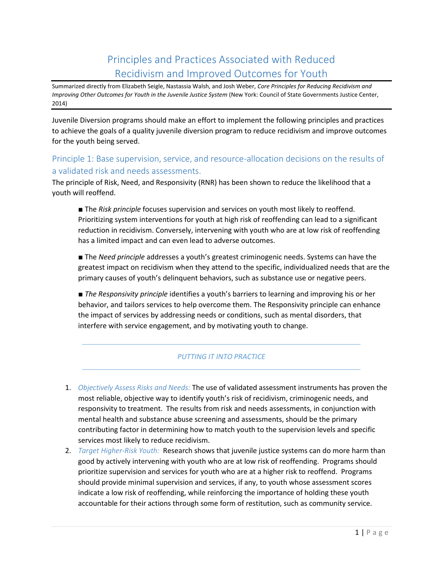# Principles and Practices Associated with Reduced Recidivism and Improved Outcomes for Youth

Summarized directly from Elizabeth Seigle, Nastassia Walsh, and Josh Weber, *Core Principles for Reducing Recidivism and Improving Other Outcomes for Youth in the Juvenile Justice System (New York: Council of State Governments Justice Center,* 2014)

Juvenile Diversion programs should make an effort to implement the following principles and practices to achieve the goals of a quality juvenile diversion program to reduce recidivism and improve outcomes for the youth being served.

### Principle 1: Base supervision, service, and resource-allocation decisions on the results of a validated risk and needs assessments.

The principle of Risk, Need, and Responsivity (RNR) has been shown to reduce the likelihood that a youth will reoffend.

■ The *Risk principle* focuses supervision and services on youth most likely to reoffend. Prioritizing system interventions for youth at high risk of reoffending can lead to a significant reduction in recidivism. Conversely, intervening with youth who are at low risk of reoffending has a limited impact and can even lead to adverse outcomes.

■ The *Need principle* addresses a youth's greatest criminogenic needs. Systems can have the greatest impact on recidivism when they attend to the specific, individualized needs that are the primary causes of youth's delinquent behaviors, such as substance use or negative peers.

■ *The Responsivity principle* identifies a youth's barriers to learning and improving his or her behavior, and tailors services to help overcome them. The Responsivity principle can enhance the impact of services by addressing needs or conditions, such as mental disorders, that interfere with service engagement, and by motivating youth to change.

- 1. *Objectively Assess Risks and Needs:* The use of validated assessment instruments has proven the most reliable, objective way to identify youth's risk of recidivism, criminogenic needs, and responsivity to treatment. The results from risk and needs assessments, in conjunction with mental health and substance abuse screening and assessments, should be the primary contributing factor in determining how to match youth to the supervision levels and specific services most likely to reduce recidivism.
- 2. *Target Higher-Risk Youth:* Research shows that juvenile justice systems can do more harm than good by actively intervening with youth who are at low risk of reoffending. Programs should prioritize supervision and services for youth who are at a higher risk to reoffend. Programs should provide minimal supervision and services, if any, to youth whose assessment scores indicate a low risk of reoffending, while reinforcing the importance of holding these youth accountable for their actions through some form of restitution, such as community service.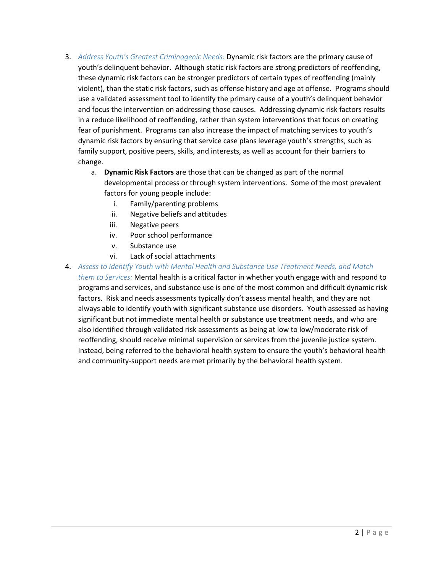- 3. *Address Youth's Greatest Criminogenic Needs:* Dynamic risk factors are the primary cause of youth's delinquent behavior. Although static risk factors are strong predictors of reoffending, these dynamic risk factors can be stronger predictors of certain types of reoffending (mainly violent), than the static risk factors, such as offense history and age at offense. Programs should use a validated assessment tool to identify the primary cause of a youth's delinquent behavior and focus the intervention on addressing those causes. Addressing dynamic risk factors results in a reduce likelihood of reoffending, rather than system interventions that focus on creating fear of punishment. Programs can also increase the impact of matching services to youth's dynamic risk factors by ensuring that service case plans leverage youth's strengths, such as family support, positive peers, skills, and interests, as well as account for their barriers to change.
	- a. **Dynamic Risk Factors** are those that can be changed as part of the normal developmental process or through system interventions. Some of the most prevalent factors for young people include:
		- i. Family/parenting problems
		- ii. Negative beliefs and attitudes
		- iii. Negative peers
		- iv. Poor school performance
		- v. Substance use
		- vi. Lack of social attachments
- 4. *Assess to Identify Youth with Mental Health and Substance Use Treatment Needs, and Match them to Services:* Mental health is a critical factor in whether youth engage with and respond to programs and services, and substance use is one of the most common and difficult dynamic risk factors. Risk and needs assessments typically don't assess mental health, and they are not always able to identify youth with significant substance use disorders. Youth assessed as having significant but not immediate mental health or substance use treatment needs, and who are also identified through validated risk assessments as being at low to low/moderate risk of reoffending, should receive minimal supervision or services from the juvenile justice system. Instead, being referred to the behavioral health system to ensure the youth's behavioral health and community-support needs are met primarily by the behavioral health system.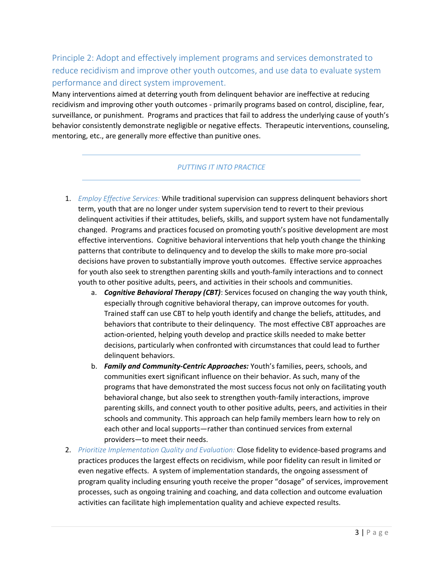# Principle 2: Adopt and effectively implement programs and services demonstrated to reduce recidivism and improve other youth outcomes, and use data to evaluate system performance and direct system improvement.

Many interventions aimed at deterring youth from delinquent behavior are ineffective at reducing recidivism and improving other youth outcomes - primarily programs based on control, discipline, fear, surveillance, or punishment. Programs and practices that fail to address the underlying cause of youth's behavior consistently demonstrate negligible or negative effects. Therapeutic interventions, counseling, mentoring, etc., are generally more effective than punitive ones.

- 1. *Employ Effective Services:* While traditional supervision can suppress delinquent behaviors short term, youth that are no longer under system supervision tend to revert to their previous delinquent activities if their attitudes, beliefs, skills, and support system have not fundamentally changed. Programs and practices focused on promoting youth's positive development are most effective interventions. Cognitive behavioral interventions that help youth change the thinking patterns that contribute to delinquency and to develop the skills to make more pro-social decisions have proven to substantially improve youth outcomes. Effective service approaches for youth also seek to strengthen parenting skills and youth-family interactions and to connect youth to other positive adults, peers, and activities in their schools and communities.
	- a. *Cognitive Behavioral Therapy (CBT)*: Services focused on changing the way youth think, especially through cognitive behavioral therapy, can improve outcomes for youth. Trained staff can use CBT to help youth identify and change the beliefs, attitudes, and behaviors that contribute to their delinquency. The most effective CBT approaches are action-oriented, helping youth develop and practice skills needed to make better decisions, particularly when confronted with circumstances that could lead to further delinquent behaviors.
	- b. *Family and Community-Centric Approaches:* Youth's families, peers, schools, and communities exert significant influence on their behavior. As such, many of the programs that have demonstrated the most success focus not only on facilitating youth behavioral change, but also seek to strengthen youth-family interactions, improve parenting skills, and connect youth to other positive adults, peers, and activities in their schools and community. This approach can help family members learn how to rely on each other and local supports—rather than continued services from external providers—to meet their needs.
- 2. *Prioritize Implementation Quality and Evaluation:* Close fidelity to evidence-based programs and practices produces the largest effects on recidivism, while poor fidelity can result in limited or even negative effects. A system of implementation standards, the ongoing assessment of program quality including ensuring youth receive the proper "dosage" of services, improvement processes, such as ongoing training and coaching, and data collection and outcome evaluation activities can facilitate high implementation quality and achieve expected results.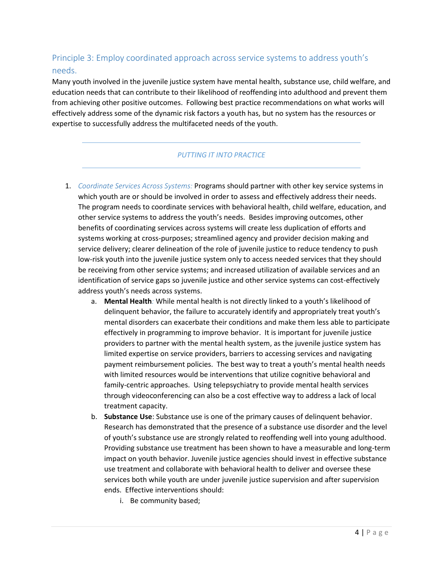# Principle 3: Employ coordinated approach across service systems to address youth's needs.

Many youth involved in the juvenile justice system have mental health, substance use, child welfare, and education needs that can contribute to their likelihood of reoffending into adulthood and prevent them from achieving other positive outcomes. Following best practice recommendations on what works will effectively address some of the dynamic risk factors a youth has, but no system has the resources or expertise to successfully address the multifaceted needs of the youth.

- 1. *Coordinate Services Across Systems:* Programs should partner with other key service systems in which youth are or should be involved in order to assess and effectively address their needs. The program needs to coordinate services with behavioral health, child welfare, education, and other service systems to address the youth's needs. Besides improving outcomes, other benefits of coordinating services across systems will create less duplication of efforts and systems working at cross-purposes; streamlined agency and provider decision making and service delivery; clearer delineation of the role of juvenile justice to reduce tendency to push low-risk youth into the juvenile justice system only to access needed services that they should be receiving from other service systems; and increased utilization of available services and an identification of service gaps so juvenile justice and other service systems can cost-effectively address youth's needs across systems.
	- a. **Mental Health***:* While mental health is not directly linked to a youth's likelihood of delinquent behavior, the failure to accurately identify and appropriately treat youth's mental disorders can exacerbate their conditions and make them less able to participate effectively in programming to improve behavior. It is important for juvenile justice providers to partner with the mental health system, as the juvenile justice system has limited expertise on service providers, barriers to accessing services and navigating payment reimbursement policies. The best way to treat a youth's mental health needs with limited resources would be interventions that utilize cognitive behavioral and family-centric approaches. Using telepsychiatry to provide mental health services through videoconferencing can also be a cost effective way to address a lack of local treatment capacity.
	- b. **Substance Use**: Substance use is one of the primary causes of delinquent behavior. Research has demonstrated that the presence of a substance use disorder and the level of youth's substance use are strongly related to reoffending well into young adulthood. Providing substance use treatment has been shown to have a measurable and long-term impact on youth behavior. Juvenile justice agencies should invest in effective substance use treatment and collaborate with behavioral health to deliver and oversee these services both while youth are under juvenile justice supervision and after supervision ends. Effective interventions should:
		- i. Be community based;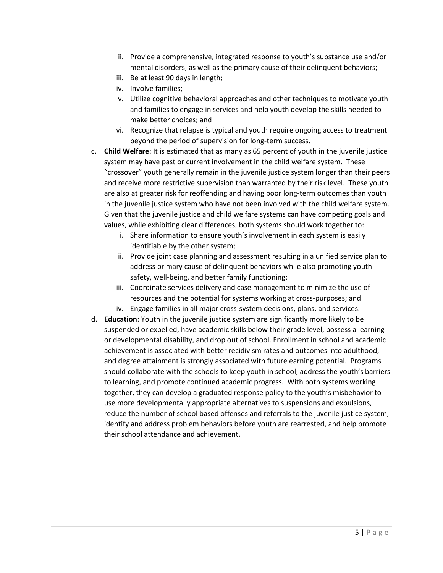- ii. Provide a comprehensive, integrated response to youth's substance use and/or mental disorders, as well as the primary cause of their delinquent behaviors;
- iii. Be at least 90 days in length;
- iv. Involve families;
- v. Utilize cognitive behavioral approaches and other techniques to motivate youth and families to engage in services and help youth develop the skills needed to make better choices; and
- vi. Recognize that relapse is typical and youth require ongoing access to treatment beyond the period of supervision for long-term success**.**
- c. **Child Welfare**: It is estimated that as many as 65 percent of youth in the juvenile justice system may have past or current involvement in the child welfare system. These "crossover" youth generally remain in the juvenile justice system longer than their peers and receive more restrictive supervision than warranted by their risk level. These youth are also at greater risk for reoffending and having poor long-term outcomes than youth in the juvenile justice system who have not been involved with the child welfare system. Given that the juvenile justice and child welfare systems can have competing goals and values, while exhibiting clear differences, both systems should work together to:
	- i. Share information to ensure youth's involvement in each system is easily identifiable by the other system;
	- ii. Provide joint case planning and assessment resulting in a unified service plan to address primary cause of delinquent behaviors while also promoting youth safety, well-being, and better family functioning;
	- iii. Coordinate services delivery and case management to minimize the use of resources and the potential for systems working at cross-purposes; and
	- iv. Engage families in all major cross-system decisions, plans, and services.
- d. **Education**: Youth in the juvenile justice system are significantly more likely to be suspended or expelled, have academic skills below their grade level, possess a learning or developmental disability, and drop out of school. Enrollment in school and academic achievement is associated with better recidivism rates and outcomes into adulthood, and degree attainment is strongly associated with future earning potential. Programs should collaborate with the schools to keep youth in school, address the youth's barriers to learning, and promote continued academic progress. With both systems working together, they can develop a graduated response policy to the youth's misbehavior to use more developmentally appropriate alternatives to suspensions and expulsions, reduce the number of school based offenses and referrals to the juvenile justice system, identify and address problem behaviors before youth are rearrested, and help promote their school attendance and achievement.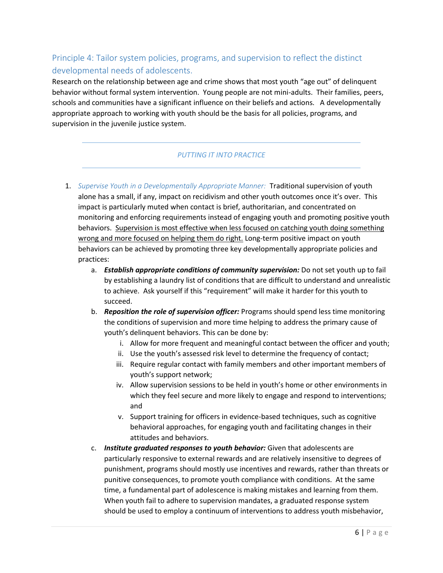# Principle 4: Tailor system policies, programs, and supervision to reflect the distinct developmental needs of adolescents.

Research on the relationship between age and crime shows that most youth "age out" of delinquent behavior without formal system intervention. Young people are not mini-adults. Their families, peers, schools and communities have a significant influence on their beliefs and actions. A developmentally appropriate approach to working with youth should be the basis for all policies, programs, and supervision in the juvenile justice system.

- 1. *Supervise Youth in a Developmentally Appropriate Manner:* Traditional supervision of youth alone has a small, if any, impact on recidivism and other youth outcomes once it's over. This impact is particularly muted when contact is brief, authoritarian, and concentrated on monitoring and enforcing requirements instead of engaging youth and promoting positive youth behaviors. Supervision is most effective when less focused on catching youth doing something wrong and more focused on helping them do right. Long-term positive impact on youth behaviors can be achieved by promoting three key developmentally appropriate policies and practices:
	- a. *Establish appropriate conditions of community supervision:* Do not set youth up to fail by establishing a laundry list of conditions that are difficult to understand and unrealistic to achieve. Ask yourself if this "requirement" will make it harder for this youth to succeed.
	- b. *Reposition the role of supervision officer:* Programs should spend less time monitoring the conditions of supervision and more time helping to address the primary cause of youth's delinquent behaviors. This can be done by:
		- i. Allow for more frequent and meaningful contact between the officer and youth;
		- ii. Use the youth's assessed risk level to determine the frequency of contact;
		- iii. Require regular contact with family members and other important members of youth's support network;
		- iv. Allow supervision sessions to be held in youth's home or other environments in which they feel secure and more likely to engage and respond to interventions; and
		- v. Support training for officers in evidence-based techniques, such as cognitive behavioral approaches, for engaging youth and facilitating changes in their attitudes and behaviors.
	- c. *Institute graduated responses to youth behavior:* Given that adolescents are particularly responsive to external rewards and are relatively insensitive to degrees of punishment, programs should mostly use incentives and rewards, rather than threats or punitive consequences, to promote youth compliance with conditions. At the same time, a fundamental part of adolescence is making mistakes and learning from them. When youth fail to adhere to supervision mandates, a graduated response system should be used to employ a continuum of interventions to address youth misbehavior,